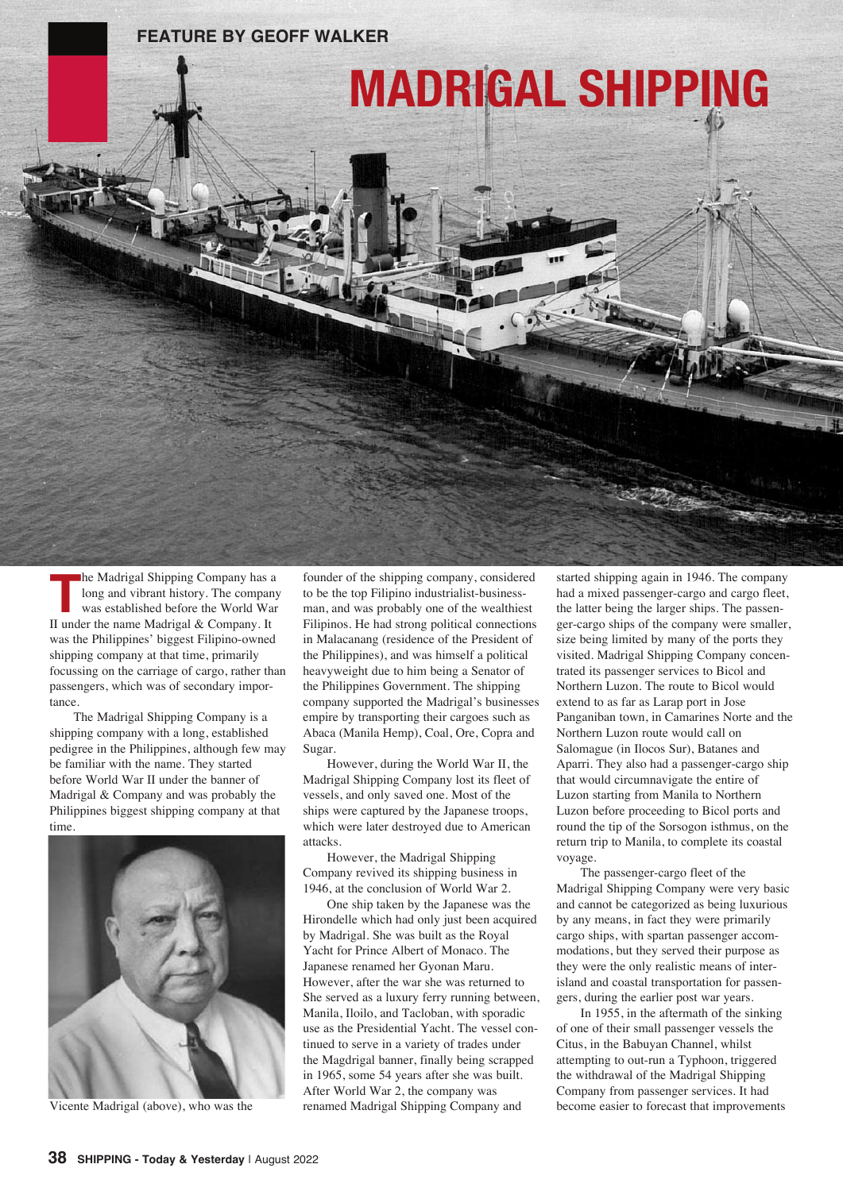## **FEATURE by GEOFF WALKER**



**MADRIGAL SHIPPING**

**The Madrigal Shipping Company has a<br>
long and vibrant history. The compan<br>
was established before the World War<br>
<b>Tunder the name Madrigal & Company, It** long and vibrant history. The company was established before the World War II under the name Madrigal & Company. It was the Philippines' biggest Filipino-owned shipping company at that time, primarily focussing on the carriage of cargo, rather than passengers, which was of secondary importance.

The Madrigal Shipping Company is a shipping company with a long, established pedigree in the Philippines, although few may be familiar with the name. They started before World War II under the banner of Madrigal & Company and was probably the Philippines biggest shipping company at that time.



Vicente Madrigal (above), who was the

founder of the shipping company, considered to be the top Filipino industrialist-businessman, and was probably one of the wealthiest Filipinos. He had strong political connections in Malacanang (residence of the President of the Philippines), and was himself a political heavyweight due to him being a Senator of the Philippines Government. The shipping company supported the Madrigal's businesses empire by transporting their cargoes such as Abaca (Manila Hemp), Coal, Ore, Copra and Sugar.

However, during the World War II, the Madrigal Shipping Company lost its fleet of vessels, and only saved one. Most of the ships were captured by the Japanese troops, which were later destroyed due to American attacks.

However, the Madrigal Shipping Company revived its shipping business in 1946, at the conclusion of World War 2.

One ship taken by the Japanese was the Hirondelle which had only just been acquired by Madrigal. She was built as the Royal Yacht for Prince Albert of Monaco. The Japanese renamed her Gyonan Maru. However, after the war she was returned to She served as a luxury ferry running between, Manila, Iloilo, and Tacloban, with sporadic use as the Presidential Yacht. The vessel continued to serve in a variety of trades under the Magdrigal banner, finally being scrapped in 1965, some 54 years after she was built. After World War 2, the company was renamed Madrigal Shipping Company and

started shipping again in 1946. The company had a mixed passenger-cargo and cargo fleet, the latter being the larger ships. The passenger-cargo ships of the company were smaller, size being limited by many of the ports they visited. Madrigal Shipping Company concentrated its passenger services to Bicol and Northern Luzon. The route to Bicol would extend to as far as Larap port in Jose Panganiban town, in Camarines Norte and the Northern Luzon route would call on Salomague (in Ilocos Sur), Batanes and Aparri. They also had a passenger-cargo ship that would circumnavigate the entire of Luzon starting from Manila to Northern Luzon before proceeding to Bicol ports and round the tip of the Sorsogon isthmus, on the return trip to Manila, to complete its coastal voyage.

The passenger-cargo fleet of the Madrigal Shipping Company were very basic and cannot be categorized as being luxurious by any means, in fact they were primarily cargo ships, with spartan passenger accommodations, but they served their purpose as they were the only realistic means of interisland and coastal transportation for passengers, during the earlier post war years.

In 1955, in the aftermath of the sinking of one of their small passenger vessels the Citus, in the Babuyan Channel, whilst attempting to out-run a Typhoon, triggered the withdrawal of the Madrigal Shipping Company from passenger services. It had become easier to forecast that improvements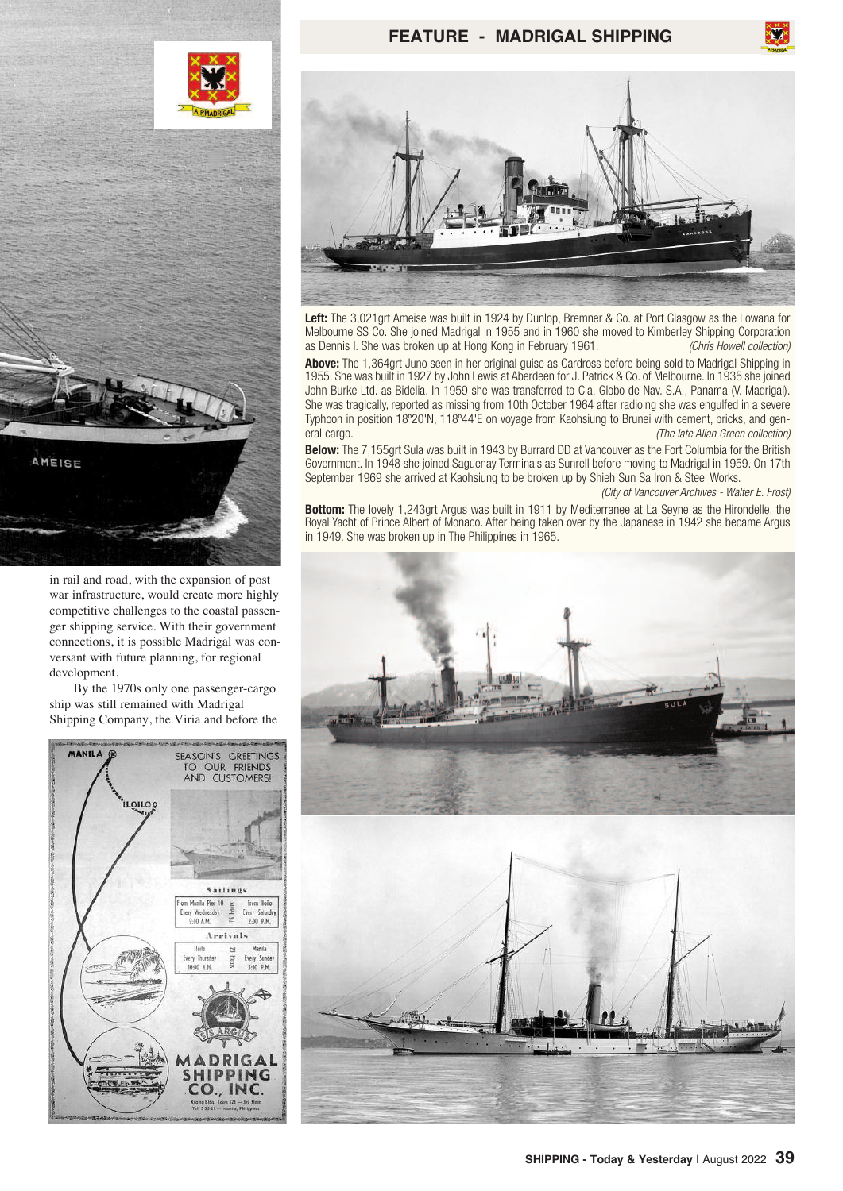

## **FEATURE - MADRIGAL SHIPPING**



**Left:** The 3,021grt Ameise was built in 1924 by Dunlop, Bremner & Co. at Port Glasgow as the Lowana for Melbourne SS Co. She joined Madrigal in 1955 and in 1960 she moved to Kimberley Shipping Corporation<br>as Dennis I. She was broken up at Hong Kong in February 1961. as Dennis I. She was broken up at Hong Kong in February 1961.

**Above:** The 1,364grt Juno seen in her original guise as Cardross before being sold to Madrigal Shipping in 1955. She was built in 1927 by John Lewis at Aberdeen for J. Patrick & Co. of Melbourne. In 1935 she joined John Burke Ltd. as Bidelia. In 1959 she was transferred to Cia. Globo de Nav. S.A., Panama (V. Madrigal). She was tragically, reported as missing from 10th October 1964 after radioing she was engulfed in a severe Typhoon in position 18º20'N, 118º44'E on voyage from Kaohsiung to Brunei with cement, bricks, and general cargo. *(The late Allan Green collection)*

**Below:** The 7,155grt Sula was built in 1943 by Burrard DD at Vancouver as the Fort Columbia for the British Government. In 1948 she joined Saguenay Terminals as Sunrell before moving to Madrigal in 1959. On 17th September 1969 she arrived at Kaohsiung to be broken up by Shieh Sun Sa Iron & Steel Works.

*(City of Vancouver Archives - Walter E. Frost)*

**Bottom:** The lovely 1,243grt Argus was built in 1911 by Mediterranee at La Seyne as the Hirondelle, the Royal Yacht of Prince Albert of Monaco. After being taken over by the Japanese in 1942 she became Argus in 1949. She was broken up in The Philippines in 1965.



in rail and road, with the expansion of post war infrastructure, would create more highly competitive challenges to the coastal passenger shipping service. With their government connections, it is possible Madrigal was conversant with future planning, for regional development.

AMEISE

By the 1970s only one passenger-cargo ship was still remained with Madrigal Shipping Company, the Viria and before the

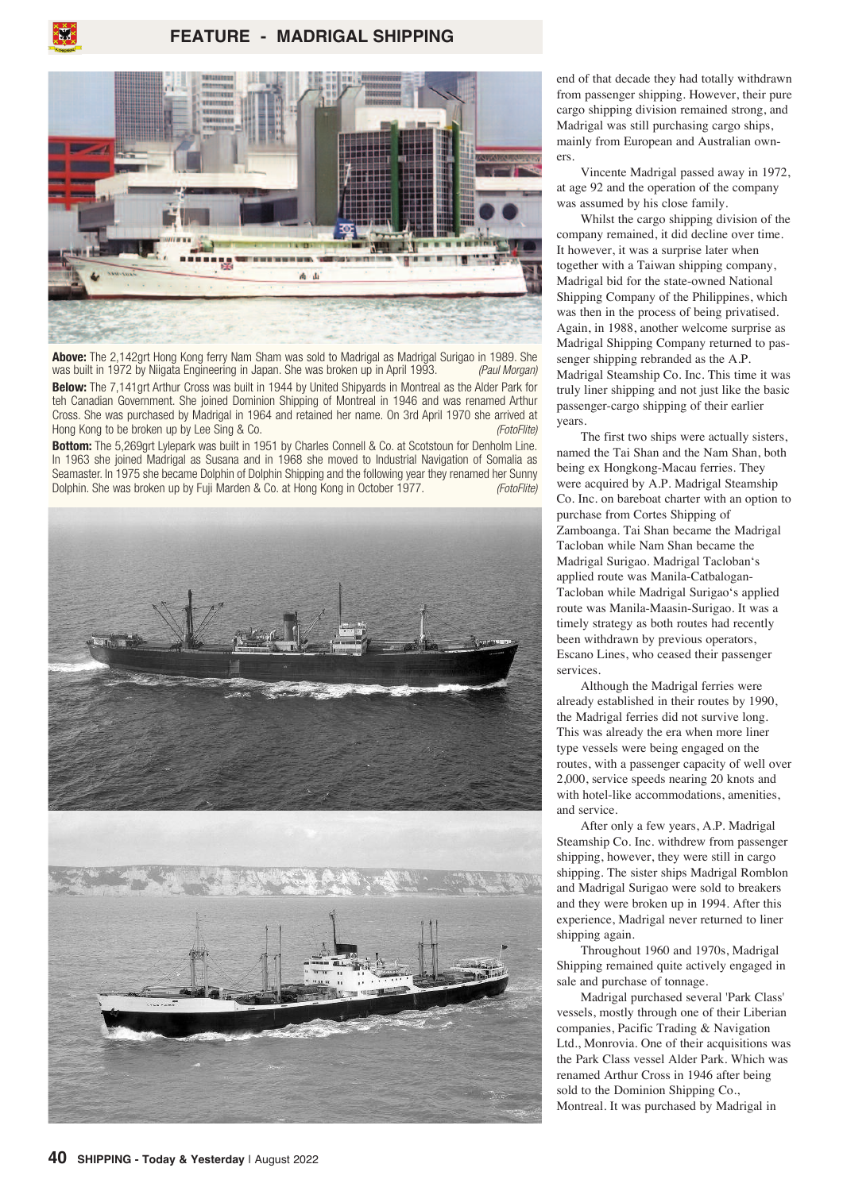

**Above:** The 2,142grt Hong Kong ferry Nam Sham was sold to Madrigal as Madrigal Surigao in 1989. She was built in 1972 by Niigata Engineering in Japan. She was broken up in April 1993. *(Paul Morgan)*

**Below:** The 7,141grt Arthur Cross was built in 1944 by United Shipyards in Montreal as the Alder Park for teh Canadian Government. She joined Dominion Shipping of Montreal in 1946 and was renamed Arthur Cross. She was purchased by Madrigal in 1964 and retained her name. On 3rd April 1970 she arrived at Hong Kong to be broken up by Lee Sing & Co. *(FotoFlite)*

**Bottom:** The 5,269grt Lylepark was built in 1951 by Charles Connell & Co. at Scotstoun for Denholm Line. In 1963 she joined Madrigal as Susana and in 1968 she moved to Industrial Navigation of Somalia as Seamaster. In 1975 she became Dolphin of Dolphin Shipping and the following year they renamed her Sunny Dolphin. She was broken up by Fuji Marden & Co. at Hong Kong in October 1977. *(FotoFlite)*



end of that decade they had totally withdrawn from passenger shipping. However, their pure cargo shipping division remained strong, and Madrigal was still purchasing cargo ships, mainly from European and Australian owners.

Vincente Madrigal passed away in 1972, at age 92 and the operation of the company was assumed by his close family.

Whilst the cargo shipping division of the company remained, it did decline over time. It however, it was a surprise later when together with a Taiwan shipping company, Madrigal bid for the state-owned National Shipping Company of the Philippines, which was then in the process of being privatised. Again, in 1988, another welcome surprise as Madrigal Shipping Company returned to passenger shipping rebranded as the A.P. Madrigal Steamship Co. Inc. This time it was truly liner shipping and not just like the basic passenger-cargo shipping of their earlier years.

The first two ships were actually sisters, named the Tai Shan and the Nam Shan, both being ex Hongkong-Macau ferries. They were acquired by A.P. Madrigal Steamship Co. Inc. on bareboat charter with an option to purchase from Cortes Shipping of Zamboanga. Tai Shan became the Madrigal Tacloban while Nam Shan became the Madrigal Surigao. Madrigal Tacloban's applied route was Manila-Catbalogan-Tacloban while Madrigal Surigao's applied route was Manila-Maasin-Surigao. It was a timely strategy as both routes had recently been withdrawn by previous operators, Escano Lines, who ceased their passenger services.

Although the Madrigal ferries were already established in their routes by 1990, the Madrigal ferries did not survive long. This was already the era when more liner type vessels were being engaged on the routes, with a passenger capacity of well over 2,000, service speeds nearing 20 knots and with hotel-like accommodations, amenities, and service.

After only a few years, A.P. Madrigal Steamship Co. Inc. withdrew from passenger shipping, however, they were still in cargo shipping. The sister ships Madrigal Romblon and Madrigal Surigao were sold to breakers and they were broken up in 1994. After this experience, Madrigal never returned to liner shipping again.

Throughout 1960 and 1970s, Madrigal Shipping remained quite actively engaged in sale and purchase of tonnage.

Madrigal purchased several 'Park Class' vessels, mostly through one of their Liberian companies, Pacific Trading & Navigation Ltd., Monrovia. One of their acquisitions was the Park Class vessel Alder Park. Which was renamed Arthur Cross in 1946 after being sold to the Dominion Shipping Co., Montreal. It was purchased by Madrigal in